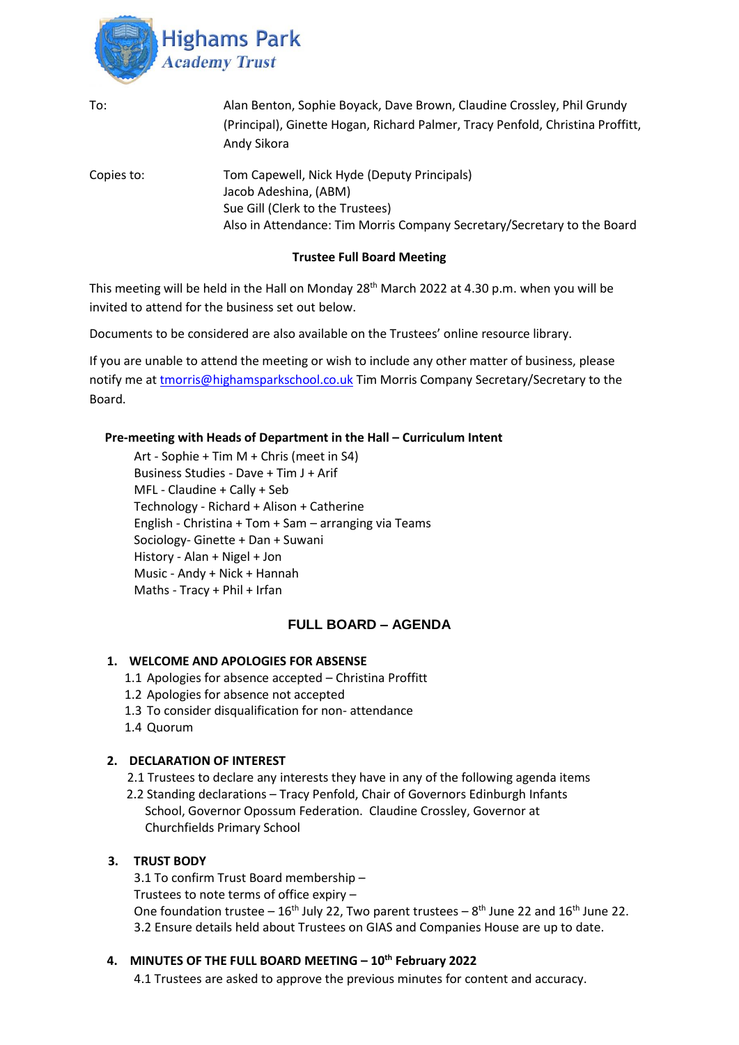

| To:        | Alan Benton, Sophie Boyack, Dave Brown, Claudine Crossley, Phil Grundy<br>(Principal), Ginette Hogan, Richard Palmer, Tracy Penfold, Christina Proffitt,<br>Andy Sikora             |
|------------|-------------------------------------------------------------------------------------------------------------------------------------------------------------------------------------|
| Copies to: | Tom Capewell, Nick Hyde (Deputy Principals)<br>Jacob Adeshina, (ABM)<br>Sue Gill (Clerk to the Trustees)<br>Also in Attendance: Tim Morris Company Secretary/Secretary to the Board |

### **Trustee Full Board Meeting**

This meeting will be held in the Hall on Monday 28<sup>th</sup> March 2022 at 4.30 p.m. when you will be invited to attend for the business set out below.

Documents to be considered are also available on the Trustees' online resource library.

If you are unable to attend the meeting or wish to include any other matter of business, please notify me at [tmorris@highamsparkschool.co.uk](mailto:tmorris@highamsparkschool.co.uk) Tim Morris Company Secretary/Secretary to the Board.

### **Pre-meeting with Heads of Department in the Hall – Curriculum Intent**

Art - Sophie + Tim M + Chris (meet in S4) Business Studies - Dave + Tim J + Arif MFL - Claudine + Cally + Seb Technology - Richard + Alison + Catherine English - Christina + Tom + Sam – arranging via Teams Sociology- Ginette + Dan + Suwani History - Alan + Nigel + Jon Music - Andy + Nick + Hannah Maths - Tracy + Phil + Irfan

# **FULL BOARD – AGENDA**

#### **1. WELCOME AND APOLOGIES FOR ABSENSE**

- 1.1 Apologies for absence accepted Christina Proffitt
- 1.2 Apologies for absence not accepted
- 1.3 To consider disqualification for non- attendance
- 1.4 Quorum

# **2. DECLARATION OF INTEREST**

2.1 Trustees to declare any interests they have in any of the following agenda items

 2.2 Standing declarations – Tracy Penfold, Chair of Governors Edinburgh Infants School, Governor Opossum Federation. Claudine Crossley, Governor at Churchfields Primary School

#### **3. TRUST BODY**

3.1 To confirm Trust Board membership – Trustees to note terms of office expiry – One foundation trustee  $-16<sup>th</sup>$  July 22, Two parent trustees  $-8<sup>th</sup>$  June 22 and 16<sup>th</sup> June 22. 3.2 Ensure details held about Trustees on GIAS and Companies House are up to date.

# **4. MINUTES OF THE FULL BOARD MEETING – 10th February 2022**

4.1 Trustees are asked to approve the previous minutes for content and accuracy.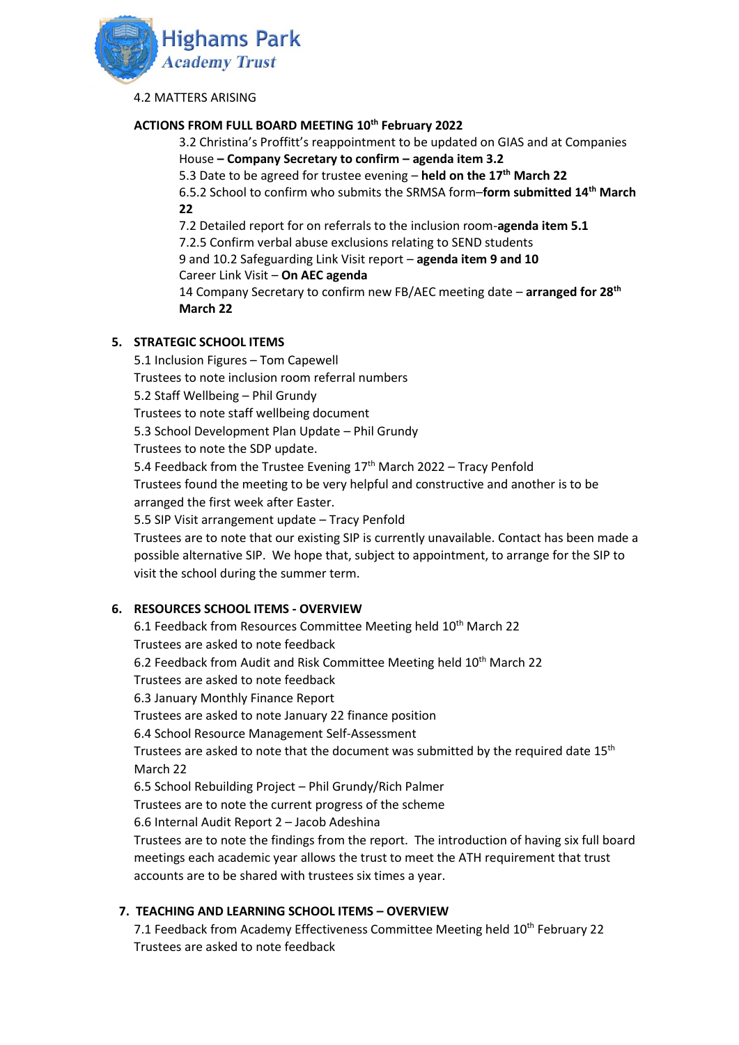

4.2 MATTERS ARISING

### **ACTIONS FROM FULL BOARD MEETING 10th February 2022**

3.2 Christina's Proffitt's reappointment to be updated on GIAS and at Companies House **– Company Secretary to confirm – agenda item 3.2**

5.3 Date to be agreed for trustee evening – **held on the 17th March 22**

6.5.2 School to confirm who submits the SRMSA form–**form submitted 14th March 22**

7.2 Detailed report for on referrals to the inclusion room-**agenda item 5.1**

7.2.5 Confirm verbal abuse exclusions relating to SEND students

9 and 10.2 Safeguarding Link Visit report – **agenda item 9 and 10**

Career Link Visit – **On AEC agenda**

14 Company Secretary to confirm new FB/AEC meeting date – **arranged for 28th March 22**

### **5. STRATEGIC SCHOOL ITEMS**

5.1 Inclusion Figures – Tom Capewell Trustees to note inclusion room referral numbers 5.2 Staff Wellbeing – Phil Grundy Trustees to note staff wellbeing document 5.3 School Development Plan Update – Phil Grundy Trustees to note the SDP update. 5.4 Feedback from the Trustee Evening  $17<sup>th</sup>$  March 2022 – Tracy Penfold Trustees found the meeting to be very helpful and constructive and another is to be arranged the first week after Easter. 5.5 SIP Visit arrangement update – Tracy Penfold Trustees are to note that our existing SIP is currently unavailable. Contact has been made a possible alternative SIP. We hope that, subject to appointment, to arrange for the SIP to visit the school during the summer term.

# **6. RESOURCES SCHOOL ITEMS - OVERVIEW**

6.1 Feedback from Resources Committee Meeting held 10<sup>th</sup> March 22 Trustees are asked to note feedback 6.2 Feedback from Audit and Risk Committee Meeting held 10<sup>th</sup> March 22 Trustees are asked to note feedback 6.3 January Monthly Finance Report Trustees are asked to note January 22 finance position 6.4 School Resource Management Self-Assessment Trustees are asked to note that the document was submitted by the required date  $15<sup>th</sup>$ March 22 6.5 School Rebuilding Project – Phil Grundy/Rich Palmer Trustees are to note the current progress of the scheme 6.6 Internal Audit Report 2 – Jacob Adeshina Trustees are to note the findings from the report. The introduction of having six full board meetings each academic year allows the trust to meet the ATH requirement that trust accounts are to be shared with trustees six times a year.

# **7. TEACHING AND LEARNING SCHOOL ITEMS – OVERVIEW**

7.1 Feedback from Academy Effectiveness Committee Meeting held 10<sup>th</sup> February 22 Trustees are asked to note feedback